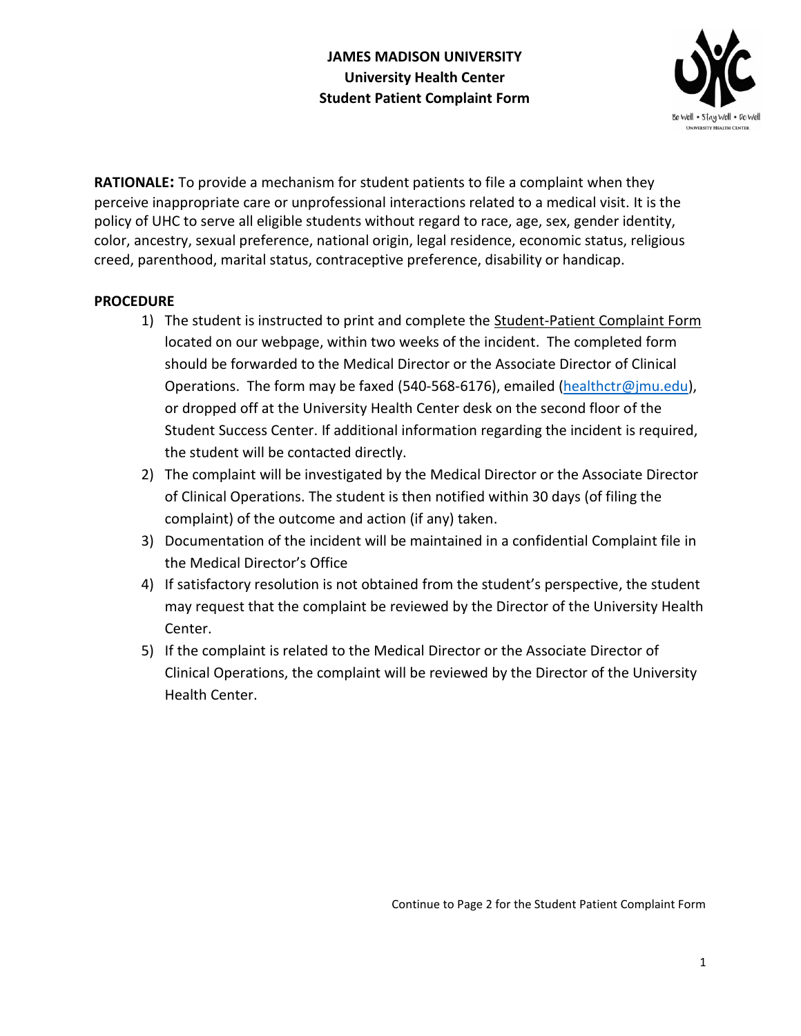

**RATIONALE:** To provide a mechanism for student patients to file a complaint when they perceive inappropriate care or unprofessional interactions related to a medical visit. It is the policy of UHC to serve all eligible students without regard to race, age, sex, gender identity, color, ancestry, sexual preference, national origin, legal residence, economic status, religious creed, parenthood, marital status, contraceptive preference, disability or handicap.

## **PROCEDURE**

- 1) The student is instructed to print and complete the Student-Patient Complaint Form located on our webpage, within two weeks of the incident. The completed form should be forwarded to the Medical Director or the Associate Director of Clinical Operations. The form may be faxed (540-568-6176), emailed [\(healthctr@jmu.edu\)](mailto:healthctr@jmu.edu), or dropped off at the University Health Center desk on the second floor of the Student Success Center. If additional information regarding the incident is required, the student will be contacted directly.
- 2) The complaint will be investigated by the Medical Director or the Associate Director of Clinical Operations. The student is then notified within 30 days (of filing the complaint) of the outcome and action (if any) taken.
- 3) Documentation of the incident will be maintained in a confidential Complaint file in the Medical Director's Office
- 4) If satisfactory resolution is not obtained from the student's perspective, the student may request that the complaint be reviewed by the Director of the University Health Center.
- 5) If the complaint is related to the Medical Director or the Associate Director of Clinical Operations, the complaint will be reviewed by the Director of the University Health Center.